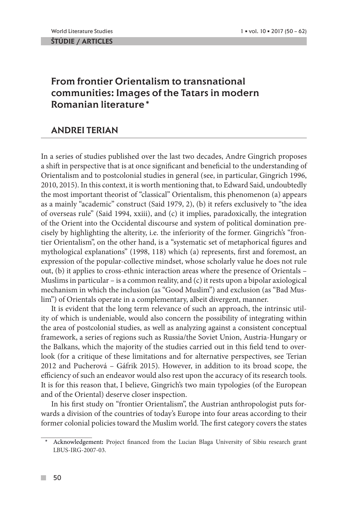ŠTÚDIE / ARTICLES

# From frontier Orientalism to transnational communities: Images of the Tatars in modern Romanian literature\*

## ANDREI TERIAN

In a series of studies published over the last two decades, Andre Gingrich proposes a shift in perspective that is at once significant and beneficial to the understanding of Orientalism and to postcolonial studies in general (see, in particular, Gingrich 1996, 2010, 2015). In this context, it is worth mentioning that, to Edward Said, undoubtedly the most important theorist of "classical" Orientalism, this phenomenon (a) appears as a mainly "academic" construct (Said 1979, 2), (b) it refers exclusively to "the idea of overseas rule" (Said 1994, xxiii), and (c) it implies, paradoxically, the integration of the Orient into the Occidental discourse and system of political domination precisely by highlighting the alterity, i.e. the inferiority of the former. Gingrich's "frontier Orientalism", on the other hand, is a "systematic set of metaphorical figures and mythological explanations" (1998, 118) which (a) represents, first and foremost, an expression of the popular-collective mindset, whose scholarly value he does not rule out, (b) it applies to cross-ethnic interaction areas where the presence of Orientals – Muslims in particular – is a common reality, and (c) it rests upon a bipolar axiological mechanism in which the inclusion (as "Good Muslim") and exclusion (as "Bad Muslim") of Orientals operate in a complementary, albeit divergent, manner.

It is evident that the long term relevance of such an approach, the intrinsic utility of which is undeniable, would also concern the possibility of integrating within the area of postcolonial studies, as well as analyzing against a consistent conceptual framework, a series of regions such as Russia/the Soviet Union, Austria-Hungary or the Balkans, which the majority of the studies carried out in this field tend to overlook (for a critique of these limitations and for alternative perspectives, see Terian 2012 and Pucherová – Gáfrik 2015). However, in addition to its broad scope, the efficiency of such an endeavor would also rest upon the accuracy of its research tools. It is for this reason that, I believe, Gingrich's two main typologies (of the European and of the Oriental) deserve closer inspection.

In his first study on "frontier Orientalism", the Austrian anthropologist puts forwards a division of the countries of today's Europe into four areas according to their former colonial policies toward the Muslim world. The first category covers the states

<sup>\*</sup> Acknowledgement**:** Project financed from the Lucian Blaga University of Sibiu research grant LBUS-IRG-2007-03.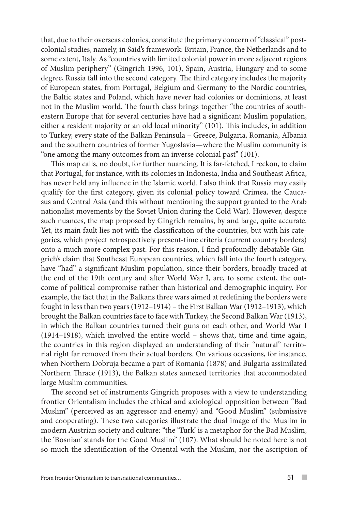that, due to their overseas colonies, constitute the primary concern of "classical" postcolonial studies, namely, in Said's framework: Britain, France, the Netherlands and to some extent, Italy. As "countries with limited colonial power in more adjacent regions of Muslim periphery" (Gingrich 1996, 101), Spain, Austria, Hungary and to some degree, Russia fall into the second category. The third category includes the majority of European states, from Portugal, Belgium and Germany to the Nordic countries, the Baltic states and Poland, which have never had colonies or dominions, at least not in the Muslim world. The fourth class brings together "the countries of southeastern Europe that for several centuries have had a significant Muslim population, either a resident majority or an old local minority" (101). This includes, in addition to Turkey, every state of the Balkan Peninsula – Greece, Bulgaria, Romania, Albania and the southern countries of former Yugoslavia—where the Muslim community is "one among the many outcomes from an inverse colonial past" (101).

This map calls, no doubt, for further nuancing. It is far-fetched, I reckon, to claim that Portugal, for instance, with its colonies in Indonesia, India and Southeast Africa, has never held any influence in the Islamic world. I also think that Russia may easily qualify for the first category, given its colonial policy toward Crimea, the Caucasus and Central Asia (and this without mentioning the support granted to the Arab nationalist movements by the Soviet Union during the Cold War). However, despite such nuances, the map proposed by Gingrich remains, by and large, quite accurate. Yet, its main fault lies not with the classification of the countries, but with his categories, which project retrospectively present-time criteria (current country borders) onto a much more complex past. For this reason, I find profoundly debatable Gingrich's claim that Southeast European countries, which fall into the fourth category, have "had" a significant Muslim population, since their borders, broadly traced at the end of the 19th century and after World War I, are, to some extent, the outcome of political compromise rather than historical and demographic inquiry. For example, the fact that in the Balkans three wars aimed at redefining the borders were fought in less than two years (1912–1914) – the First Balkan War (1912–1913), which brought the Balkan countries face to face with Turkey, the Second Balkan War (1913), in which the Balkan countries turned their guns on each other, and World War I (1914–1918), which involved the entire world – shows that, time and time again, the countries in this region displayed an understanding of their "natural" territorial right far removed from their actual borders. On various occasions, for instance, when Northern Dobruja became a part of Romania (1878) and Bulgaria assimilated Northern Thrace (1913), the Balkan states annexed territories that accommodated large Muslim communities.

The second set of instruments Gingrich proposes with a view to understanding frontier Orientalism includes the ethical and axiological opposition between "Bad Muslim" (perceived as an aggressor and enemy) and "Good Muslim" (submissive and cooperating). These two categories illustrate the dual image of the Muslim in modern Austrian society and culture: "the 'Turk' is a metaphor for the Bad Muslim, the 'Bosnian' stands for the Good Muslim" (107). What should be noted here is not so much the identification of the Oriental with the Muslim, nor the ascription of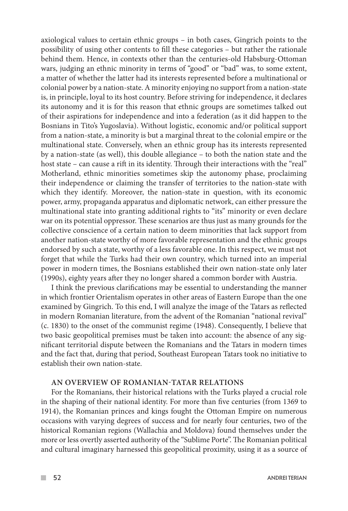axiological values to certain ethnic groups – in both cases, Gingrich points to the possibility of using other contents to fill these categories – but rather the rationale behind them. Hence, in contexts other than the centuries-old Habsburg-Ottoman wars, judging an ethnic minority in terms of "good" or "bad" was, to some extent, a matter of whether the latter had its interests represented before a multinational or colonial power by a nation-state. A minority enjoying no support from a nation-state is, in principle, loyal to its host country. Before striving for independence, it declares its autonomy and it is for this reason that ethnic groups are sometimes talked out of their aspirations for independence and into a federation (as it did happen to the Bosnians in Tito's Yugoslavia). Without logistic, economic and/or political support from a nation-state, a minority is but a marginal threat to the colonial empire or the multinational state. Conversely, when an ethnic group has its interests represented by a nation-state (as well), this double allegiance – to both the nation state and the host state – can cause a rift in its identity. Through their interactions with the "real" Motherland, ethnic minorities sometimes skip the autonomy phase, proclaiming their independence or claiming the transfer of territories to the nation-state with which they identify. Moreover, the nation-state in question, with its economic power, army, propaganda apparatus and diplomatic network, can either pressure the multinational state into granting additional rights to "its" minority or even declare war on its potential oppressor. These scenarios are thus just as many grounds for the collective conscience of a certain nation to deem minorities that lack support from another nation-state worthy of more favorable representation and the ethnic groups endorsed by such a state, worthy of a less favorable one. In this respect, we must not forget that while the Turks had their own country, which turned into an imperial power in modern times, the Bosnians established their own nation-state only later (1990s), eighty years after they no longer shared a common border with Austria.

I think the previous clarifications may be essential to understanding the manner in which frontier Orientalism operates in other areas of Eastern Europe than the one examined by Gingrich. To this end, I will analyze the image of the Tatars as reflected in modern Romanian literature, from the advent of the Romanian "national revival" (c. 1830) to the onset of the communist regime (1948). Consequently, I believe that two basic geopolitical premises must be taken into account: the absence of any significant territorial dispute between the Romanians and the Tatars in modern times and the fact that, during that period, Southeast European Tatars took no initiative to establish their own nation-state.

### **AN OVERVIEW OF ROMANIAN-TATAR RELATIONS**

For the Romanians, their historical relations with the Turks played a crucial role in the shaping of their national identity. For more than five centuries (from 1369 to 1914), the Romanian princes and kings fought the Ottoman Empire on numerous occasions with varying degrees of success and for nearly four centuries, two of the historical Romanian regions (Wallachia and Moldova) found themselves under the more or less overtly asserted authority of the "Sublime Porte". The Romanian political and cultural imaginary harnessed this geopolitical proximity, using it as a source of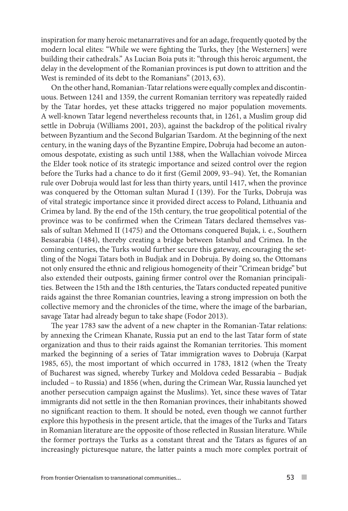inspiration for many heroic metanarratives and for an adage, frequently quoted by the modern local elites: "While we were fighting the Turks, they [the Westerners] were building their cathedrals." As Lucian Boia puts it: "through this heroic argument, the delay in the development of the Romanian provinces is put down to attrition and the West is reminded of its debt to the Romanians" (2013, 63).

On the other hand, Romanian-Tatar relations were equally complex and discontinuous. Between 1241 and 1359, the current Romanian territory was repeatedly raided by the Tatar hordes, yet these attacks triggered no major population movements. A well-known Tatar legend nevertheless recounts that, in 1261, a Muslim group did settle in Dobruja (Williams 2001, 203), against the backdrop of the political rivalry between Byzantium and the Second Bulgarian Tsardom. At the beginning of the next century, in the waning days of the Byzantine Empire, Dobruja had become an autonomous despotate, existing as such until 1388, when the Wallachian voivode Mircea the Elder took notice of its strategic importance and seized control over the region before the Turks had a chance to do it first (Gemil 2009, 93–94). Yet, the Romanian rule over Dobruja would last for less than thirty years, until 1417, when the province was conquered by the Ottoman sultan Murad I (139). For the Turks, Dobruja was of vital strategic importance since it provided direct access to Poland, Lithuania and Crimea by land. By the end of the 15th century, the true geopolitical potential of the province was to be confirmed when the Crimean Tatars declared themselves vassals of sultan Mehmed II (1475) and the Ottomans conquered Bujak, i. e., Southern Bessarabia (1484), thereby creating a bridge between Istanbul and Crimea. In the coming centuries, the Turks would further secure this gateway, encouraging the settling of the Nogai Tatars both in Budjak and in Dobruja. By doing so, the Ottomans not only ensured the ethnic and religious homogeneity of their "Crimean bridge" but also extended their outposts, gaining firmer control over the Romanian principalities. Between the 15th and the 18th centuries, the Tatars conducted repeated punitive raids against the three Romanian countries, leaving a strong impression on both the collective memory and the chronicles of the time, where the image of the barbarian, savage Tatar had already begun to take shape (Fodor 2013).

The year 1783 saw the advent of a new chapter in the Romanian-Tatar relations: by annexing the Crimean Khanate, Russia put an end to the last Tatar form of state organization and thus to their raids against the Romanian territories. This moment marked the beginning of a series of Tatar immigration waves to Dobruja (Karpat 1985, 65), the most important of which occurred in 1783, 1812 (when the Treaty of Bucharest was signed, whereby Turkey and Moldova ceded Bessarabia – Budjak included – to Russia) and 1856 (when, during the Crimean War, Russia launched yet another persecution campaign against the Muslims). Yet, since these waves of Tatar immigrants did not settle in the then Romanian provinces, their inhabitants showed no significant reaction to them. It should be noted, even though we cannot further explore this hypothesis in the present article, that the images of the Turks and Tatars in Romanian literature are the opposite of those reflected in Russian literature. While the former portrays the Turks as a constant threat and the Tatars as figures of an increasingly picturesque nature, the latter paints a much more complex portrait of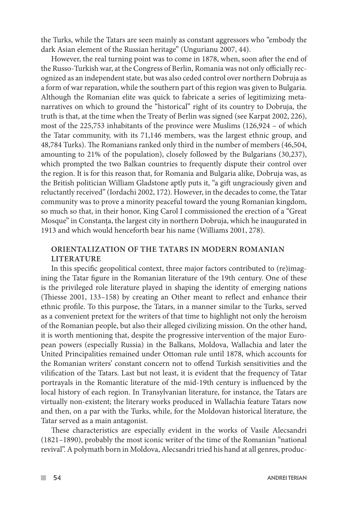the Turks, while the Tatars are seen mainly as constant aggressors who "embody the dark Asian element of the Russian heritage" (Ungurianu 2007, 44).

However, the real turning point was to come in 1878, when, soon after the end of the Russo-Turkish war, at the Congress of Berlin, Romania was not only officially recognized as an independent state, but was also ceded control over northern Dobruja as a form of war reparation, while the southern part of this region was given to Bulgaria. Although the Romanian elite was quick to fabricate a series of legitimizing metanarratives on which to ground the "historical" right of its country to Dobruja, the truth is that, at the time when the Treaty of Berlin was signed (see Karpat 2002, 226), most of the 225,753 inhabitants of the province were Muslims (126,924 – of which the Tatar community, with its 71,146 members, was the largest ethnic group, and 48,784 Turks). The Romanians ranked only third in the number of members (46,504, amounting to 21% of the population), closely followed by the Bulgarians (30,237), which prompted the two Balkan countries to frequently dispute their control over the region. It is for this reason that, for Romania and Bulgaria alike, Dobruja was, as the British politician William Gladstone aptly puts it, "a gift ungraciously given and reluctantly received" (Iordachi 2002, 172). However, in the decades to come, the Tatar community was to prove a minority peaceful toward the young Romanian kingdom, so much so that, in their honor, King Carol I commissioned the erection of a "Great Mosque" in Constanța, the largest city in northern Dobruja, which he inaugurated in 1913 and which would henceforth bear his name (Williams 2001, 278).

## **ORIENTALIZATION OF THE TATARS IN MODERN ROMANIAN LITERATURE**

In this specific geopolitical context, three major factors contributed to (re)imagining the Tatar figure in the Romanian literature of the 19th century. One of these is the privileged role literature played in shaping the identity of emerging nations (Thiesse 2001, 133–158) by creating an Other meant to reflect and enhance their ethnic profile. To this purpose, the Tatars, in a manner similar to the Turks, served as a convenient pretext for the writers of that time to highlight not only the heroism of the Romanian people, but also their alleged civilizing mission. On the other hand, it is worth mentioning that, despite the progressive intervention of the major European powers (especially Russia) in the Balkans, Moldova, Wallachia and later the United Principalities remained under Ottoman rule until 1878, which accounts for the Romanian writers' constant concern not to offend Turkish sensitivities and the vilification of the Tatars. Last but not least, it is evident that the frequency of Tatar portrayals in the Romantic literature of the mid-19th century is influenced by the local history of each region. In Transylvanian literature, for instance, the Tatars are virtually non-existent; the literary works produced in Wallachia feature Tatars now and then, on a par with the Turks, while, for the Moldovan historical literature, the Tatar served as a main antagonist.

These characteristics are especially evident in the works of Vasile Alecsandri (1821–1890), probably the most iconic writer of the time of the Romanian "national revival". A polymath born in Moldova, Alecsandri tried his hand at all genres, produc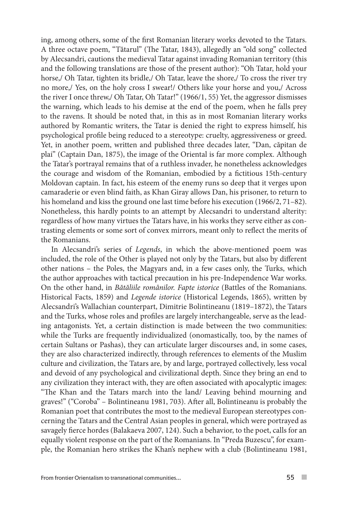ing, among others, some of the first Romanian literary works devoted to the Tatars. A three octave poem, "Tătarul" (The Tatar, 1843), allegedly an "old song" collected by Alecsandri, cautions the medieval Tatar against invading Romanian territory (this and the following translations are those of the present author): "Oh Tatar, hold your horse,/ Oh Tatar, tighten its bridle,/ Oh Tatar, leave the shore,/ To cross the river try no more,/ Yes, on the holy cross I swear!/ Others like your horse and you,/ Across the river I once threw,/ Oh Tatar, Oh Tatar!" (1966/1, 55) Yet, the aggressor dismisses the warning, which leads to his demise at the end of the poem, when he falls prey to the ravens. It should be noted that, in this as in most Romanian literary works authored by Romantic writers, the Tatar is denied the right to express himself, his psychological profile being reduced to a stereotype: cruelty, aggressiveness or greed. Yet, in another poem, written and published three decades later, "Dan, căpitan de plai" (Captain Dan, 1875), the image of the Oriental is far more complex. Although the Tatar's portrayal remains that of a ruthless invader, he nonetheless acknowledges the courage and wisdom of the Romanian, embodied by a fictitious 15th-century Moldovan captain. In fact, his esteem of the enemy runs so deep that it verges upon camaraderie or even blind faith, as Khan Giray allows Dan, his prisoner, to return to his homeland and kiss the ground one last time before his execution (1966/2, 71–82). Nonetheless, this hardly points to an attempt by Alecsandri to understand alterity: regardless of how many virtues the Tatars have, in his works they serve either as contrasting elements or some sort of convex mirrors, meant only to reflect the merits of the Romanians.

In Alecsandri's series of *Legends*, in which the above-mentioned poem was included, the role of the Other is played not only by the Tatars, but also by different other nations – the Poles, the Magyars and, in a few cases only, the Turks, which the author approaches with tactical precaution in his pre-Independence War works. On the other hand, in *Bătăliile românilor. Fapte istorice* (Battles of the Romanians. Historical Facts, 1859) and *Legende istorice* (Historical Legends, 1865), written by Alecsandri's Wallachian counterpart, Dimitrie Bolintineanu (1819–1872), the Tatars and the Turks, whose roles and profiles are largely interchangeable, serve as the leading antagonists. Yet, a certain distinction is made between the two communities: while the Turks are frequently individualized (onomastically, too, by the names of certain Sultans or Pashas), they can articulate larger discourses and, in some cases, they are also characterized indirectly, through references to elements of the Muslim culture and civilization, the Tatars are, by and large, portrayed collectively, less vocal and devoid of any psychological and civilizational depth. Since they bring an end to any civilization they interact with, they are often associated with apocalyptic images: "The Khan and the Tatars march into the land/ Leaving behind mourning and graves!" ("Coroba" – Bolintineanu 1981, 703). After all, Bolintineanu is probably the Romanian poet that contributes the most to the medieval European stereotypes concerning the Tatars and the Central Asian peoples in general, which were portrayed as savagely fierce hordes (Balakaeva 2007, 124). Such a behavior, to the poet, calls for an equally violent response on the part of the Romanians. In "Preda Buzescu", for example, the Romanian hero strikes the Khan's nephew with a club (Bolintineanu 1981,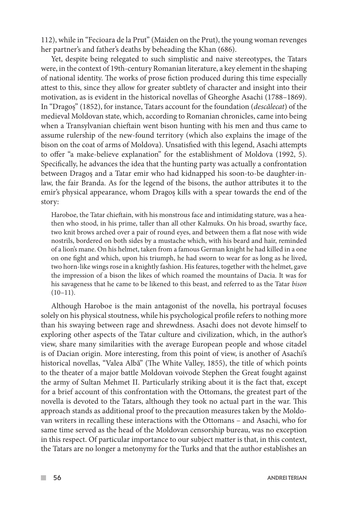112), while in "Fecioara de la Prut" (Maiden on the Prut), the young woman revenges her partner's and father's deaths by beheading the Khan (686).

Yet, despite being relegated to such simplistic and naive stereotypes, the Tatars were, in the context of 19th-century Romanian literature, a key element in the shaping of national identity. The works of prose fiction produced during this time especially attest to this, since they allow for greater subtlety of character and insight into their motivation, as is evident in the historical novellas of Gheorghe Asachi (1788–1869). In "Dragoș" (1852), for instance, Tatars account for the foundation (*descălecat*) of the medieval Moldovan state, which, according to Romanian chronicles, came into being when a Transylvanian chieftain went bison hunting with his men and thus came to assume rulership of the new-found territory (which also explains the image of the bison on the coat of arms of Moldova). Unsatisfied with this legend, Asachi attempts to offer "a make-believe explanation" for the establishment of Moldova (1992, 5). Specifically, he advances the idea that the hunting party was actually a confrontation between Dragoș and a Tatar emir who had kidnapped his soon-to-be daughter-inlaw, the fair Branda. As for the legend of the bisons, the author attributes it to the emir's physical appearance, whom Dragoș kills with a spear towards the end of the story:

Haroboe, the Tatar chieftain, with his monstrous face and intimidating stature, was a heathen who stood, in his prime, taller than all other Kalmuks. On his broad, swarthy face, two knit brows arched over a pair of round eyes, and between them a flat nose with wide nostrils, bordered on both sides by a mustache which, with his beard and hair, reminded of a lion's mane. On his helmet, taken from a famous German knight he had killed in a one on one fight and which, upon his triumph, he had sworn to wear for as long as he lived, two horn-like wings rose in a knightly fashion. His features, together with the helmet, gave the impression of a bison the likes of which roamed the mountains of Dacia. It was for his savageness that he came to be likened to this beast, and referred to as the Tatar *bison*   $(10-11).$ 

Although Haroboe is the main antagonist of the novella, his portrayal focuses solely on his physical stoutness, while his psychological profile refers to nothing more than his swaying between rage and shrewdness. Asachi does not devote himself to exploring other aspects of the Tatar culture and civilization, which, in the author's view, share many similarities with the average European people and whose citadel is of Dacian origin. More interesting, from this point of view, is another of Asachi's historical novellas, "Valea Albă" (The White Valley, 1855), the title of which points to the theater of a major battle Moldovan voivode Stephen the Great fought against the army of Sultan Mehmet II. Particularly striking about it is the fact that, except for a brief account of this confrontation with the Ottomans, the greatest part of the novella is devoted to the Tatars, although they took no actual part in the war. This approach stands as additional proof to the precaution measures taken by the Moldovan writers in recalling these interactions with the Ottomans – and Asachi, who for same time served as the head of the Moldovan censorship bureau, was no exception in this respect. Of particular importance to our subject matter is that, in this context, the Tatars are no longer a metonymy for the Turks and that the author establishes an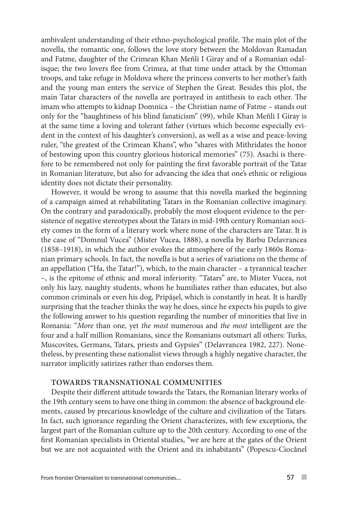ambivalent understanding of their ethno-psychological profile. The main plot of the novella, the romantic one, follows the love story between the Moldovan Ramadan and Fatme, daughter of the Crimean Khan Meñli I Giray and of a Romanian odalisque; the two lovers flee from Crimea, at that time under attack by the Ottoman troops, and take refuge in Moldova where the princess converts to her mother's faith and the young man enters the service of Stephen the Great. Besides this plot, the main Tatar characters of the novella are portrayed in antithesis to each other. The imam who attempts to kidnap Domnica – the Christian name of Fatme – stands out only for the "haughtiness of his blind fanaticism" (99), while Khan Meñli I Giray is at the same time a loving and tolerant father (virtues which become especially evident in the context of his daughter's conversion), as well as a wise and peace-loving ruler, "the greatest of the Crimean Khans", who "shares with Mithridates the honor of bestowing upon this country glorious historical memories" (75). Asachi is therefore to be remembered not only for painting the first favorable portrait of the Tatar in Romanian literature, but also for advancing the idea that one's ethnic or religious identity does not dictate their personality.

However, it would be wrong to assume that this novella marked the beginning of a campaign aimed at rehabilitating Tatars in the Romanian collective imaginary. On the contrary and paradoxically, probably the most eloquent evidence to the persistence of negative stereotypes about the Tatars in mid-19th century Romanian society comes in the form of a literary work where none of the characters are Tatar. It is the case of "Domnul Vucea" (Mister Vucea, 1888), a novella by Barbu Delavrancea (1858–1918), in which the author evokes the atmosphere of the early 1860s Romanian primary schools. In fact, the novella is but a series of variations on the theme of an appellation ("Ha, the Tatar!"), which, to the main character – a tyrannical teacher –, is the epitome of ethnic and moral inferiority. "Tatars" are, to Mister Vucea, not only his lazy, naughty students, whom he humiliates rather than educates, but also common criminals or even his dog, Pripășel, which is constantly in heat. It is hardly surprising that the teacher thinks the way he does, since he expects his pupils to give the following answer to his question regarding the number of minorities that live in Romania: "*More* than one, yet *the most* numerous and *the most* intelligent are the four and a half million Romanians, since the Romanians outsmart all others: Turks, Muscovites, Germans, Tatars, priests and Gypsies" (Delavrancea 1982, 227). Nonetheless, by presenting these nationalist views through a highly negative character, the narrator implicitly satirizes rather than endorses them.

## **TOWARDS TRANSNATIONAL COMMUNITIES**

Despite their different attitude towards the Tatars, the Romanian literary works of the 19th century seem to have one thing in common: the absence of background elements, caused by precarious knowledge of the culture and civilization of the Tatars. In fact, such ignorance regarding the Orient characterizes, with few exceptions, the largest part of the Romanian culture up to the 20th century. According to one of the first Romanian specialists in Oriental studies, "we are here at the gates of the Orient but we are not acquainted with the Orient and its inhabitants" (Popescu-Ciocănel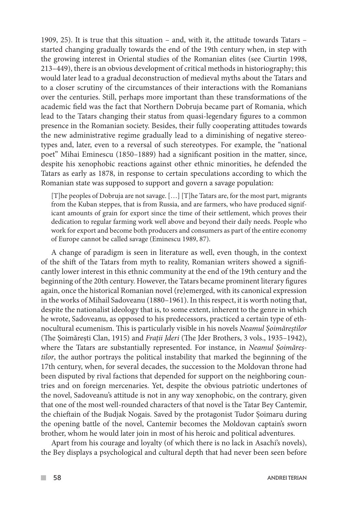1909, 25). It is true that this situation – and, with it, the attitude towards Tatars – started changing gradually towards the end of the 19th century when, in step with the growing interest in Oriental studies of the Romanian elites (see Ciurtin 1998, 213–449), there is an obvious development of critical methods in historiography; this would later lead to a gradual deconstruction of medieval myths about the Tatars and to a closer scrutiny of the circumstances of their interactions with the Romanians over the centuries. Still, perhaps more important than these transformations of the academic field was the fact that Northern Dobruja became part of Romania, which lead to the Tatars changing their status from quasi-legendary figures to a common presence in the Romanian society. Besides, their fully cooperating attitudes towards the new administrative regime gradually lead to a diminishing of negative stereotypes and, later, even to a reversal of such stereotypes. For example, the "national poet" Mihai Eminescu (1850–1889) had a significant position in the matter, since, despite his xenophobic reactions against other ethnic minorities, he defended the Tatars as early as 1878, in response to certain speculations according to which the Romanian state was supposed to support and govern a savage population:

[T]he peoples of Dobruja are not savage. […] [T]he Tatars are, for the most part, migrants from the Kuban steppes, that is from Russia, and are farmers, who have produced significant amounts of grain for export since the time of their settlement, which proves their dedication to regular farming work well above and beyond their daily needs. People who work for export and become both producers and consumers as part of the entire economy of Europe cannot be called savage (Eminescu 1989, 87).

A change of paradigm is seen in literature as well, even though, in the context of the shift of the Tatars from myth to reality, Romanian writers showed a significantly lower interest in this ethnic community at the end of the 19th century and the beginning of the 20th century. However, the Tatars became prominent literary figures again, once the historical Romanian novel (re)emerged, with its canonical expression in the works of Mihail Sadoveanu (1880–1961). In this respect, it is worth noting that, despite the nationalist ideology that is, to some extent, inherent to the genre in which he wrote, Sadoveanu, as opposed to his predecessors, practiced a certain type of ethnocultural ecumenism. This is particularly visible in his novels *Neamul Șoimăreștilor*  (The Șoimărești Clan, 1915) and *Frații Jderi* (The Jder Brothers, 3 vols., 1935–1942), where the Tatars are substantially represented. For instance, in *Neamul Șoimăreștilor*, the author portrays the political instability that marked the beginning of the 17th century, when, for several decades, the succession to the Moldovan throne had been disputed by rival factions that depended for support on the neighboring countries and on foreign mercenaries. Yet, despite the obvious patriotic undertones of the novel, Sadoveanu's attitude is not in any way xenophobic, on the contrary, given that one of the most well-rounded characters of that novel is the Tatar Bey Cantemir, the chieftain of the Budjak Nogais. Saved by the protagonist Tudor Șoimaru during the opening battle of the novel, Cantemir becomes the Moldovan captain's sworn brother, whom he would later join in most of his heroic and political adventures.

Apart from his courage and loyalty (of which there is no lack in Asachi's novels), the Bey displays a psychological and cultural depth that had never been seen before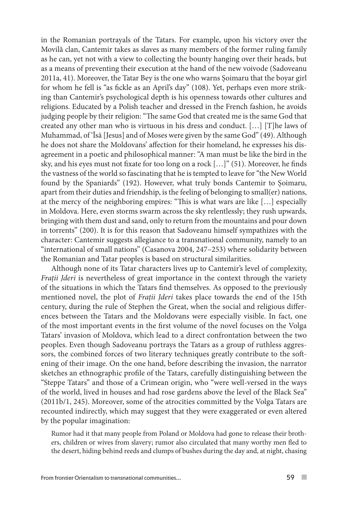in the Romanian portrayals of the Tatars. For example, upon his victory over the Movilă clan, Cantemir takes as slaves as many members of the former ruling family as he can, yet not with a view to collecting the bounty hanging over their heads, but as a means of preventing their execution at the hand of the new voivode (Sadoveanu 2011a, 41). Moreover, the Tatar Bey is the one who warns Șoimaru that the boyar girl for whom he fell is "as fickle as an April's day" (108). Yet, perhaps even more striking than Cantemir's psychological depth is his openness towards other cultures and religions. Educated by a Polish teacher and dressed in the French fashion, he avoids judging people by their religion: "The same God that created me is the same God that created any other man who is virtuous in his dress and conduct. […] [T]he laws of Muhammad, of 'Īsā [Jesus] and of Moses were given by the same God" (49). Although he does not share the Moldovans' affection for their homeland, he expresses his disagreement in a poetic and philosophical manner: "A man must be like the bird in the sky, and his eyes must not fixate for too long on a rock […]" (51). Moreover, he finds the vastness of the world so fascinating that he is tempted to leave for "the New World found by the Spaniards" (192). However, what truly bonds Cantemir to Șoimaru, apart from their duties and friendship, is the feeling of belonging to small(er) nations, at the mercy of the neighboring empires: "This is what wars are like […] especially in Moldova. Here, even storms swarm across the sky relentlessly; they rush upwards, bringing with them dust and sand, only to return from the mountains and pour down in torrents" (200). It is for this reason that Sadoveanu himself sympathizes with the character: Cantemir suggests allegiance to a transnational community, namely to an "international of small nations" (Casanova 2004, 247–253) where solidarity between the Romanian and Tatar peoples is based on structural similarities.

Although none of its Tatar characters lives up to Cantemir's level of complexity, *Frații Jderi* is nevertheless of great importance in the context through the variety of the situations in which the Tatars find themselves. As opposed to the previously mentioned novel, the plot of *Frații Jderi* takes place towards the end of the 15th century, during the rule of Stephen the Great, when the social and religious differences between the Tatars and the Moldovans were especially visible. In fact, one of the most important events in the first volume of the novel focuses on the Volga Tatars' invasion of Moldova, which lead to a direct confrontation between the two peoples. Even though Sadoveanu portrays the Tatars as a group of ruthless aggressors, the combined forces of two literary techniques greatly contribute to the softening of their image. On the one hand, before describing the invasion, the narrator sketches an ethnographic profile of the Tatars, carefully distinguishing between the "Steppe Tatars" and those of a Crimean origin, who "were well-versed in the ways of the world, lived in houses and had rose gardens above the level of the Black Sea" (2011b/1, 245). Moreover, some of the atrocities committed by the Volga Tatars are recounted indirectly, which may suggest that they were exaggerated or even altered by the popular imagination:

Rumor had it that many people from Poland or Moldova had gone to release their brothers, children or wives from slavery; rumor also circulated that many worthy men fled to the desert, hiding behind reeds and clumps of bushes during the day and, at night, chasing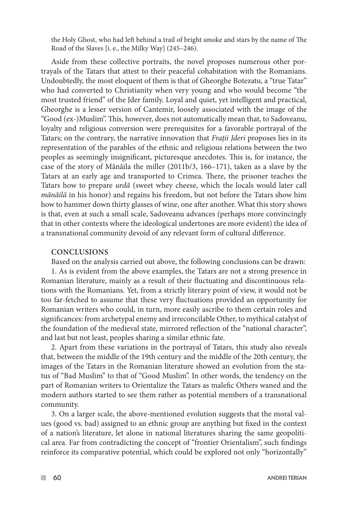the Holy Ghost, who had left behind a trail of bright smoke and stars by the name of The Road of the Slaves [i. e., the Milky Way] (245–246).

Aside from these collective portraits, the novel proposes numerous other portrayals of the Tatars that attest to their peaceful cohabitation with the Romanians. Undoubtedly, the most eloquent of them is that of Gheorghe Botezatu, a "true Tatar" who had converted to Christianity when very young and who would become "the most trusted friend" of the Jder family. Loyal and quiet, yet intelligent and practical, Gheorghe is a lesser version of Cantemir, loosely associated with the image of the "Good (ex-)Muslim". This, however, does not automatically mean that, to Sadoveanu, loyalty and religious conversion were prerequisites for a favorable portrayal of the Tatars; on the contrary, the narrative innovation that *Frații Jderi* proposes lies in its representation of the parables of the ethnic and religious relations between the two peoples as seemingly insignificant, picturesque anecdotes. This is, for instance, the case of the story of Mănăila the miller (2011b/3, 166–171), taken as a slave by the Tatars at an early age and transported to Crimea. There, the prisoner teaches the Tatars how to prepare *urdă* (sweet whey cheese, which the locals would later call *mănăilă* in his honor) and regains his freedom, but not before the Tatars show him how to hammer down thirty glasses of wine, one after another. What this story shows is that, even at such a small scale, Sadoveanu advances (perhaps more convincingly that in other contexts where the ideological undertones are more evident) the idea of a transnational community devoid of any relevant form of cultural difference.

#### **CONCLUSIONS**

Based on the analysis carried out above, the following conclusions can be drawn:

1. As is evident from the above examples, the Tatars are not a strong presence in Romanian literature, mainly as a result of their fluctuating and discontinuous relations with the Romanians. Yet, from a strictly literary point of view, it would not be too far-fetched to assume that these very fluctuations provided an opportunity for Romanian writers who could, in turn, more easily ascribe to them certain roles and significances: from archetypal enemy and irreconcilable Other, to mythical catalyst of the foundation of the medieval state, mirrored reflection of the "national character", and last but not least, peoples sharing a similar ethnic fate.

2. Apart from these variations in the portrayal of Tatars, this study also reveals that, between the middle of the 19th century and the middle of the 20th century, the images of the Tatars in the Romanian literature showed an evolution from the status of "Bad Muslim" to that of "Good Muslim". In other words, the tendency on the part of Romanian writers to Orientalize the Tatars as malefic Others waned and the modern authors started to see them rather as potential members of a transnational community.

3. On a larger scale, the above-mentioned evolution suggests that the moral values (good vs. bad) assigned to an ethnic group are anything but fixed in the context of a nation's literature, let alone in national literatures sharing the same geopolitical area. Far from contradicting the concept of "frontier Orientalism", such findings reinforce its comparative potential, which could be explored not only "horizontally"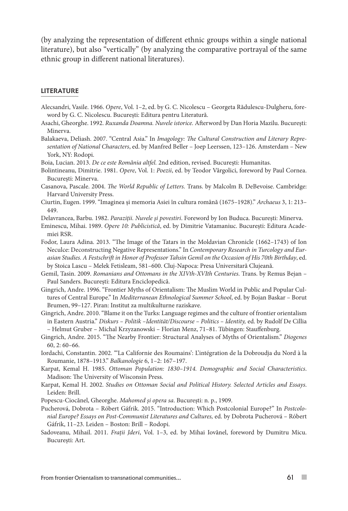(by analyzing the representation of different ethnic groups within a single national literature), but also "vertically" (by analyzing the comparative portrayal of the same ethnic group in different national literatures).

#### LITERATURE

- Alecsandri, Vasile. 1966. *Opere*, Vol. 1–2, ed. by G. C. Nicolescu Georgeta Rădulescu-Dulgheru, foreword by G. C. Nicolescu. București: Editura pentru Literatură.
- Asachi, Gheorghe. 1992. *Ruxanda Doamna. Nuvele istorice.* Afterword by Dan Horia Mazilu. București: Minerva.
- Balakaeva, Deliash. 2007. "Central Asia." In *Imagology: The Cultural Construction and Literary Representation of National Characters*, ed. by Manfred Beller – Joep Leerssen, 123–126. Amsterdam – New York, NY: Rodopi.
- Boia, Lucian. 2013. *De ce este România altfel.* 2nd edition, revised. București: Humanitas.
- Bolintineanu, Dimitrie. 1981. *Opere*, Vol. 1: *Poezii*, ed. by Teodor Vârgolici, foreword by Paul Cornea. București: Minerva.
- Casanova, Pascale. 2004. *The World Republic of Letters.* Trans. by Malcolm B. DeBevoise. Cambridge: Harvard University Press.
- Ciurtin, Eugen. 1999. "Imaginea și memoria Asiei în cultura română (1675–1928)." *Archaeus* 3, 1: 213– 449.
- Delavrancea, Barbu. 1982. *Paraziții. Nuvele și povestiri*. Foreword by Ion Buduca. București: Minerva.
- Eminescu, Mihai. 1989. *Opere 10: Publicistică*, ed. by Dimitrie Vatamaniuc. București: Editura Academiei RSR.
- Fodor, Laura Adina. 2013. "The Image of the Tatars in the Moldavian Chronicle (1662–1743) of Ion Neculce: Deconstructing Negative Representations." In *Contemporary Research in Turcology and Eurasian Studies. A Festschrift in Honor of Professor Tahsin Gemil on the Occasion of His 70th Birthday*, ed. by Stoica Lascu – Melek Fetisleam, 581–600. Cluj-Napoca: Presa Universitară Clujeană.
- Gemil, Tasin. 2009. *Romanians and Ottomans in the XIVth-XVIth Centuries*. Trans. by Remus Bejan Paul Sanders. București: Editura Enciclopedică.
- Gingrich, Andre. 1996. "Frontier Myths of Orientalism: The Muslim World in Public and Popular Cultures of Central Europe." In *Mediterranean Ethnological Summer School*, ed. by Bojan Baskar – Borut Brumen, 99–127. Piran: Institut za multikulturne raziskave.
- Gingrich, Andre. 2010. "Blame it on the Turks: Language regimes and the culture of frontier orientalism in Eastern Austria." *Diskurs – Politik –Identität/Discourse – Politics – Identity,* ed. by Rudolf De Cillia – Helmut Gruber – Michal Krzyzanowski – Florian Menz, 71–81. Tübingen: Stauffenburg.
- Gingrich, Andre. 2015. "The Nearby Frontier: Structural Analyses of Myths of Orientalism." *Diogenes*  60, 2: 60–66.
- Iordachi, Constantin. 2002. "'La Californie des Roumains': L'intégration de la Dobroudja du Nord à la Roumanie, 1878–1913." *Balkanologie* 6, 1–2: 167–197.
- Karpat, Kemal H. 1985. *Ottoman Population: 1830–1914. Demographic and Social Characteristics*. Madison: The University of Wisconsin Press.
- Karpat, Kemal H. 2002. *Studies on Ottoman Social and Political History. Selected Articles and Essays*. Leiden: Brill.
- Popescu-Ciocănel, Gheorghe. *Mahomed și opera sa*. București: n. p., 1909.
- Pucherová, Dobrota Róbert Gáfrik. 2015. "Introduction: Which Postcolonial Europe?" In *Postcolonial Europe? Essays on Post-Communist Literatures and Cultures,* ed. by Dobrota Pucherová – Róbert Gáfrik, 11–23. Leiden – Boston: Brill – Rodopi.
- Sadoveanu, Mihail. 2011. *Frații Jderi*, Vol. 1–3, ed. by Mihai Iovănel, foreword by Dumitru Micu. București: Art.